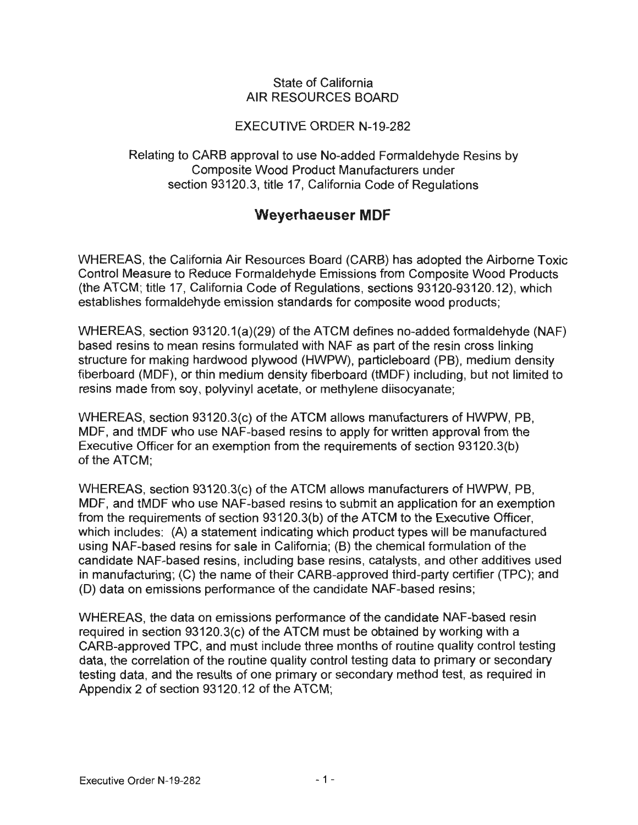## State of California AIR RESOURCES BOARD

## EXECUTIVE ORDER N-19-282

Relating to CARS approval to use No-added Formaldehyde Resins by Composite Wood Product Manufacturers under section 93120.3, title 17, California Code of Regulations

## **Weyerhaeuser MDF**

WHEREAS, the California Air Resources Board (CARS) has adopted the Airborne Toxic Control Measure to Reduce Formaldehyde Emissions from Composite Wood Products (the ATCM; title 17, California Code of Regulations, sections 93120-93120.12), which establishes formaldehyde emission standards for composite wood products;

WHEREAS, section 93120.1(a)(29) of the ATCM defines no-added formaldehyde (NAF) based resins to mean resins formulated with NAF as part of the resin cross linking structure for making hardwood plywood (HWPW), particleboard (PB), medium density fiberboard (MDF), or thin medium density fiberboard (tMDF) including, but not limited to resins made from soy, polyvinyl acetate, or methylene diisocyanate;

WHEREAS, section 93120.3(c) of the ATCM allows manufacturers of HWPW, PB, MDF, and tMDF who use NAF-based resins to apply for written approval from the Executive Officer for an exemption from the requirements of section 93120.3(b) of the ATCM;

WHEREAS, section 93120.3(c) of the ATCM allows manufacturers of HWPW, PB, MDF, and tMDF who use NAF-based resins to submit an application for an exemption from the requirements of section 93120.3(b) of the ATCM to the Executive Officer, which includes: (A) a statement indicating which product types will be manufactured using NAF-based resins for sale in California; (B) the chemical formulation of the candidate NAF-based resins, including base resins, catalysts, and other additives used in manufacturing; (C) the name of their CARS-approved third-party certifier (TPC); and (D) data on emissions performance of the candidate NAF-based resins;

WHEREAS, the data on emissions performance of the candidate NAF-based resin required in section 93120.3(c) of the ATCM must be obtained by working with a GARB-approved TPC, and must include three months of routine quality control testing data, the correlation of the routine quality control testing data to primary or secondary testing data, and the results of one primary or secondary method test, as required in Appendix 2 of section 93120.12 of the ATCM;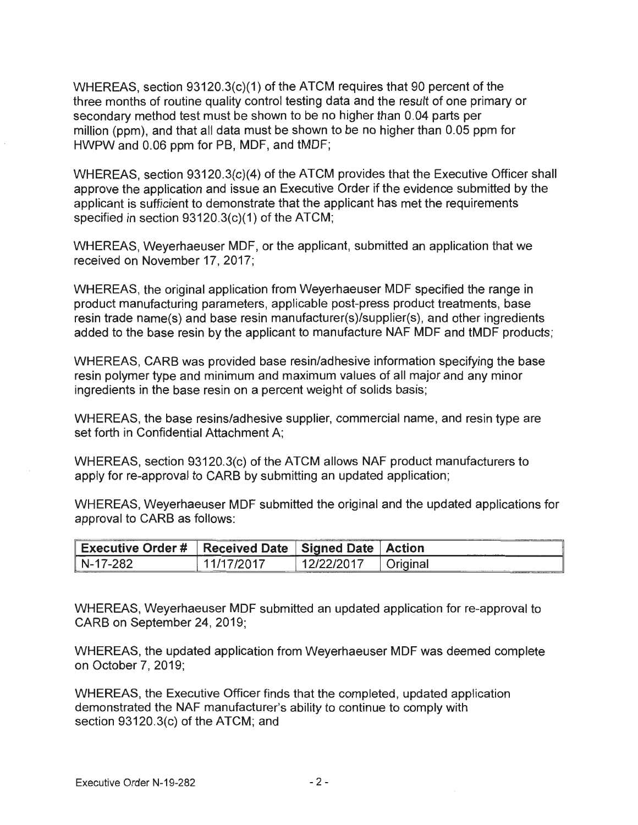WHEREAS, section 93120.3(c)(1) of the ATCM requires that 90 percent of the three months of routine quality control testing data and the result of one primary or secondary method test must be shown to be no higher than 0.04 parts per million (ppm), and that all data must be shown to be no higher than 0.05 ppm for HWPW and 0.06 ppm for PB, MDF, and tMDF;

WHEREAS, section 93120.3(c)(4) of the ATCM provides that the Executive Officer shall approve the application and issue an Executive Order if the evidence submitted by the applicant is sufficient to demonstrate that the applicant has met the requirements specified in section 93120.3(c)(1) of the ATCM;

WHEREAS, Weyerhaeuser MDF, or the applicant, submitted an application that we received on November 17, 2017;

WHEREAS, the original application from Weyerhaeuser MDF specified the range in product manufacturing parameters, applicable post-press product treatments, base resin trade name(s) and base resin manufacturer(s)/supplier(s), and other ingredients added to the base resin by the applicant to manufacture NAF MDF and tMDF products;

WHEREAS, GARB was provided base resin/adhesive information specifying the base resin polymer type and minimum and maximum values of all major and any minor ingredients in the base resin on a percent weight of solids basis;

WHEREAS, the base resins/adhesive supplier, commercial name, and resin type are set forth in Confidential Attachment A;

WHEREAS, section 93120.3(c) of the ATCM allows NAF product manufacturers to apply for re-approval to GARB by submitting an updated application;

WHEREAS, Weyerhaeuser MDF submitted the original and the updated applications for approval to GARB as follows:

| <b>Executive Order #</b> | Received Date   Signed Date   Action |          |
|--------------------------|--------------------------------------|----------|
| -17-282<br>N-            | 7/2017                               | Original |

WHEREAS, Weyerhaeuser MDF submitted an updated application for re-approval to GARB on September 24, 2019;

WHEREAS, the updated application from Weyerhaeuser MDF was deemed complete on October 7, 2019;

WHEREAS, the Executive Officer finds that the completed, updated application demonstrated the NAF manufacturer's ability to continue to comply with section 93120.3(c) of the ATCM; and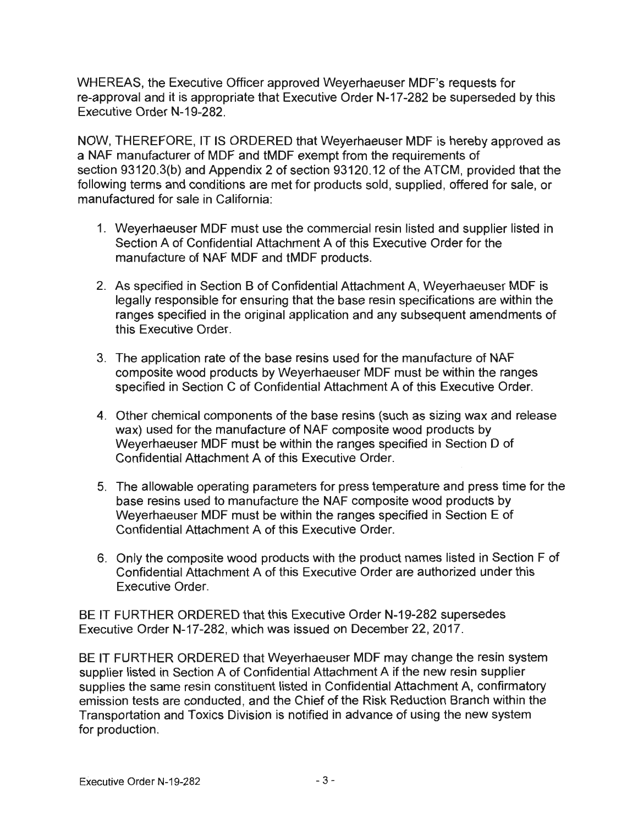WHEREAS, the Executive Officer approved Weyerhaeuser MDF's requests for re-approval and it is appropriate that Executive Order N-17-282 be superseded by this Executive Order N-19-282.

NOW, THEREFORE, IT IS ORDERED that Weyerhaeuser MDF is hereby approved as a NAF manufacturer of MDF and tMDF exempt from the requirements of section 93120.3(b) and Appendix 2 of section 93120.12 of the ATCM, provided that the following terms and conditions are met for products sold, supplied, offered for sale, or manufactured for sale in California:

- 1. Weyerhaeuser MDF must use the commercial resin listed and supplier listed in Section A of Confidential Attachment A of this Executive Order for the manufacture of NAF MDF and tMDF products.
- 2. As specified in Section B of Confidential Attachment A, Weyerhaeuser MDF is legally responsible for ensuring that the base resin specifications are within the ranges specified in the original application and any subsequent amendments of this Executive Order.
- 3. The application rate of the base resins used for the manufacture of NAF composite wood products by Weyerhaeuser MDF must be within the ranges specified in Section C of Confidential Attachment A of this Executive Order.
- 4. Other chemical components of the base resins (such as sizing wax and release wax) used for the manufacture of NAF composite wood products by Weyerhaeuser MDF must be within the ranges specified in Section D of Confidential Attachment A of this Executive Order.
- 5. The allowable operating parameters for press temperature and press time for the base resins used to manufacture the NAF composite wood products by Weyerhaeuser MDF must be within the ranges specified in Section E of Confidential Attachment A of this Executive Order.
- 6. Only the composite wood products with the product names listed in Section F of Confidential Attachment A of this Executive Order are authorized under this Executive Order.

BE IT FURTHER ORDERED that this Executive Order N-19-282 supersedes Executive Order N-17-282, which was issued on December 22, 2017.

BE IT FURTHER ORDERED that Weyerhaeuser MDF may change the resin system supplier listed in Section A of Confidential Attachment A if the new resin supplier supplies the same resin constituent listed in Confidential Attachment A, confirmatory emission tests are conducted, and the Chief of the Risk Reduction Branch within the Transportation and Toxics Division is notified in advance of using the new system for production.